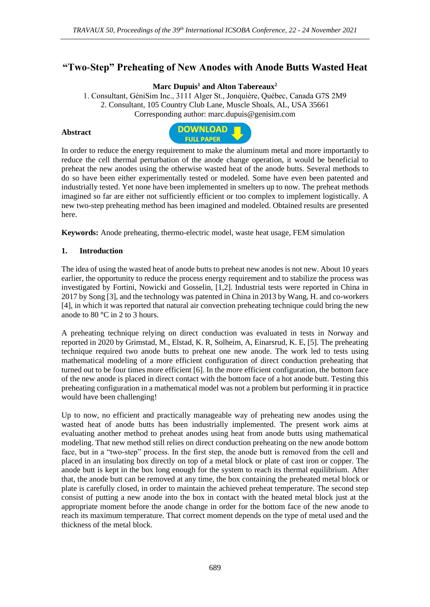# **"Two-Step" Preheating of New Anodes with Anode Butts Wasted Heat**

### **Marc Dupuis<sup>1</sup> and Alton Tabereaux<sup>2</sup>**

1. Consultant, GéniSim Inc., 3111 Alger St., Jonquière, Québec, Canada G7S 2M9 2. Consultant, 105 Country Club Lane, Muscle Shoals, AL, USA 35661 Corresponding author: marc.dupuis@genisim.com

#### **Abstract**



In order to reduce the energy requirement to make the aluminum metal and more importantly to reduce the cell thermal perturbation of the anode change operation, it would be beneficial to preheat the new anodes using the otherwise wasted heat of the anode butts. Several methods to do so have been either experimentally tested or modeled. Some have even been patented and industrially tested. Yet none have been implemented in smelters up to now. The preheat methods imagined so far are either not sufficiently efficient or too complex to implement logistically. A new two-step preheating method has been imagined and modeled. Obtained results are presented here.

**Keywords:** Anode preheating, thermo-electric model, waste heat usage, FEM simulation

#### **1. Introduction**

The idea of using the wasted heat of anode butts to preheat new anodes is not new. About 10 years earlier, the opportunity to reduce the process energy requirement and to stabilize the process was investigated by Fortini, Nowicki and Gosselin, [1,2]. Industrial tests were reported in China in 2017 by Song [3], and the technology was patented in China in 2013 by Wang, H. and co-workers [4], in which it was reported that natural air convection preheating technique could bring the new anode to 80 °C in 2 to 3 hours.

A preheating technique relying on direct conduction was evaluated in tests in Norway and reported in 2020 by Grimstad, M., Elstad, K. R, Solheim, A, Einarsrud, K. E, [5]. The preheating technique required two anode butts to preheat one new anode. The work led to tests using mathematical modeling of a more efficient configuration of direct conduction preheating that turned out to be four times more efficient [6]. In the more efficient configuration, the bottom face of the new anode is placed in direct contact with the bottom face of a hot anode butt. Testing this preheating configuration in a mathematical model was not a problem but performing it in practice would have been challenging!

Up to now, no efficient and practically manageable way of preheating new anodes using the wasted heat of anode butts has been industrially implemented. The present work aims at evaluating another method to preheat anodes using heat from anode butts using mathematical modeling. That new method still relies on direct conduction preheating on the new anode bottom face, but in a "two-step" process. In the first step, the anode butt is removed from the cell and placed in an insulating box directly on top of a metal block or plate of cast iron or copper. The anode butt is kept in the box long enough for the system to reach its thermal equilibrium. After that, the anode butt can be removed at any time, the box containing the preheated metal block or plate is carefully closed, in order to maintain the achieved preheat temperature. The second step consist of putting a new anode into the box in contact with the heated metal block just at the appropriate moment before the anode change in order for the bottom face of the new anode to reach its maximum temperature. That correct moment depends on the type of metal used and the thickness of the metal block.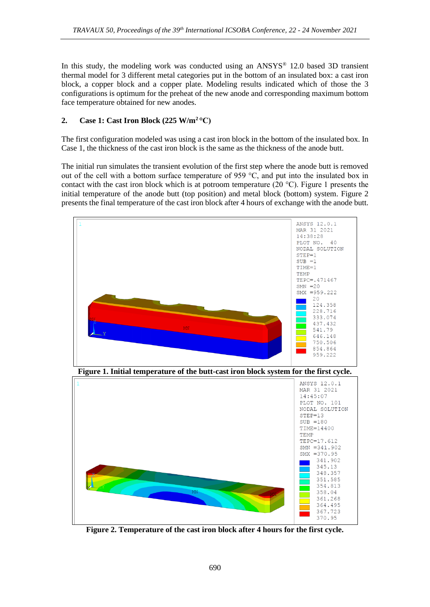In this study, the modeling work was conducted using an  $ANSYS^{\circledast}$  12.0 based 3D transient thermal model for 3 different metal categories put in the bottom of an insulated box: a cast iron block, a copper block and a copper plate. Modeling results indicated which of those the 3 configurations is optimum for the preheat of the new anode and corresponding maximum bottom face temperature obtained for new anodes.

# **2. Case 1: Cast Iron Block (225 W/m<sup>2</sup>°C)**

The first configuration modeled was using a cast iron block in the bottom of the insulated box. In Case 1, the thickness of the cast iron block is the same as the thickness of the anode butt.

The initial run simulates the transient evolution of the first step where the anode butt is removed out of the cell with a bottom surface temperature of 959 °C, and put into the insulated box in contact with the cast iron block which is at potroom temperature (20 °C). Figure 1 presents the initial temperature of the anode butt (top position) and metal block (bottom) system. Figure 2 presents the final temperature of the cast iron block after 4 hours of exchange with the anode butt.



**Figure 2. Temperature of the cast iron block after 4 hours for the first cycle.**